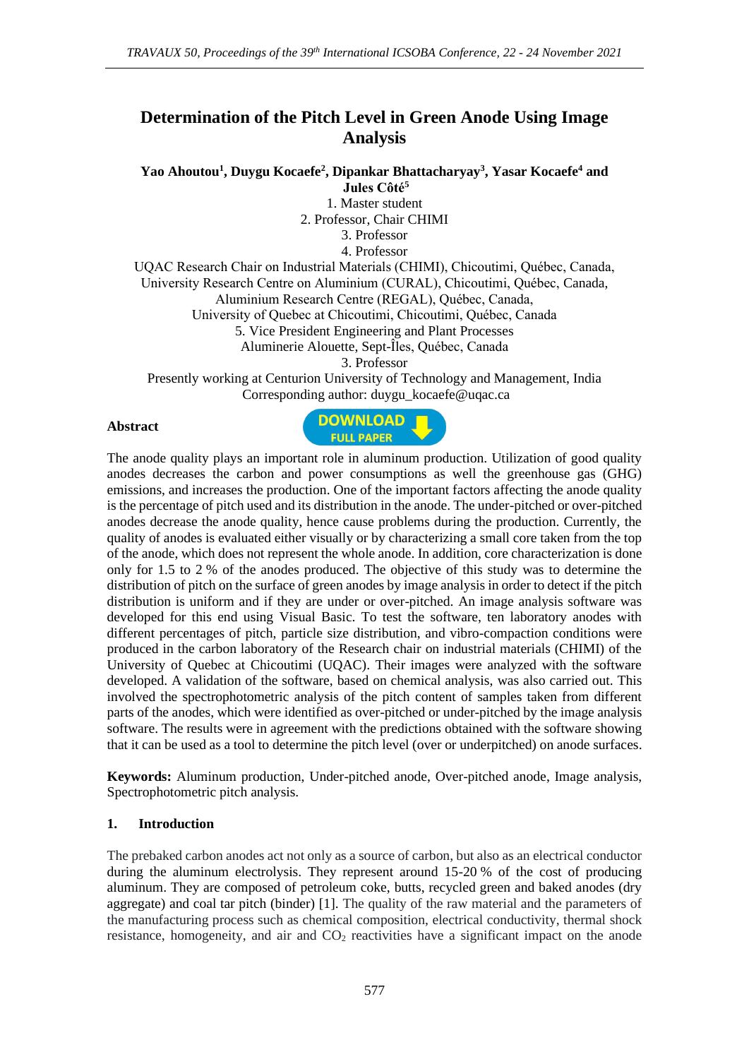# **Determination of the Pitch Level in Green Anode Using Image Analysis**

**Yao Ahoutou<sup>1</sup> , Duygu Kocaefe<sup>2</sup> , Dipankar Bhattacharyay<sup>3</sup> , Yasar Kocaefe<sup>4</sup> and Jules Côté<sup>5</sup>**

> 1. Master student 2. Professor, Chair CHIMI 3. Professor 4. Professor

UQAC Research Chair on Industrial Materials (CHIMI), Chicoutimi, Québec, Canada, University Research Centre on Aluminium (CURAL), Chicoutimi, Québec, Canada, Aluminium Research Centre (REGAL), Québec, Canada, University of Quebec at Chicoutimi, Chicoutimi, Québec, Canada 5. Vice President Engineering and Plant Processes Aluminerie Alouette, Sept-Îles, Québec, Canada 3. Professor

Presently working at Centurion University of Technology and Management, India Corresponding author: duygu\_kocaefe@uqac.ca

### **Abstract**



The anode quality plays an important role in aluminum production. Utilization of good quality anodes decreases the carbon and power consumptions as well the greenhouse gas (GHG) emissions, and increases the production. One of the important factors affecting the anode quality is the percentage of pitch used and its distribution in the anode. The under-pitched or over-pitched anodes decrease the anode quality, hence cause problems during the production. Currently, the quality of anodes is evaluated either visually or by characterizing a small core taken from the top of the anode, which does not represent the whole anode. In addition, core characterization is done only for 1.5 to 2 % of the anodes produced. The objective of this study was to determine the distribution of pitch on the surface of green anodes by image analysis in order to detect if the pitch distribution is uniform and if they are under or over-pitched. An image analysis software was developed for this end using Visual Basic. To test the software, ten laboratory anodes with different percentages of pitch, particle size distribution, and vibro-compaction conditions were produced in the carbon laboratory of the Research chair on industrial materials (CHIMI) of the University of Quebec at Chicoutimi (UQAC). Their images were analyzed with the software developed. A validation of the software, based on chemical analysis, was also carried out. This involved the spectrophotometric analysis of the pitch content of samples taken from different parts of the anodes, which were identified as over-pitched or under-pitched by the image analysis software. The results were in agreement with the predictions obtained with the software showing that it can be used as a tool to determine the pitch level (over or underpitched) on anode surfaces.

**Keywords:** Aluminum production, Under-pitched anode, Over-pitched anode, Image analysis, Spectrophotometric pitch analysis.

### **1. Introduction**

The prebaked carbon anodes act not only as a source of carbon, but also as an electrical conductor during the aluminum electrolysis. They represent around 15-20 % of the cost of producing aluminum. They are composed of petroleum coke, butts, recycled green and baked anodes (dry aggregate) and coal tar pitch (binder) [1]. The quality of the raw material and the parameters of the manufacturing process such as chemical composition, electrical conductivity, thermal shock resistance, homogeneity, and air and  $CO<sub>2</sub>$  reactivities have a significant impact on the anode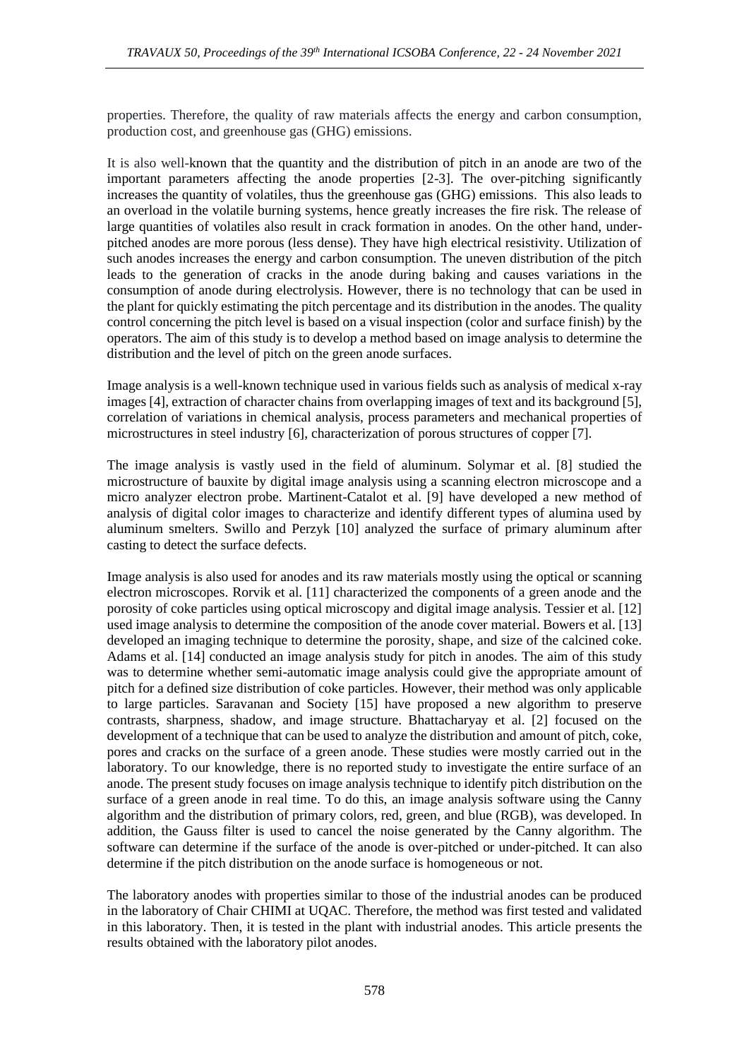properties. Therefore, the quality of raw materials affects the energy and carbon consumption, production cost, and greenhouse gas (GHG) emissions.

It is also well-known that the quantity and the distribution of pitch in an anode are two of the important parameters affecting the anode properties [2-3]. The over-pitching significantly increases the quantity of volatiles, thus the greenhouse gas (GHG) emissions. This also leads to an overload in the volatile burning systems, hence greatly increases the fire risk. The release of large quantities of volatiles also result in crack formation in anodes. On the other hand, underpitched anodes are more porous (less dense). They have high electrical resistivity. Utilization of such anodes increases the energy and carbon consumption. The uneven distribution of the pitch leads to the generation of cracks in the anode during baking and causes variations in the consumption of anode during electrolysis. However, there is no technology that can be used in the plant for quickly estimating the pitch percentage and its distribution in the anodes. The quality control concerning the pitch level is based on a visual inspection (color and surface finish) by the operators. The aim of this study is to develop a method based on image analysis to determine the distribution and the level of pitch on the green anode surfaces.

Image analysis is a well-known technique used in various fields such as analysis of medical x-ray images [4], extraction of character chains from overlapping images of text and its background [5], correlation of variations in chemical analysis, process parameters and mechanical properties of microstructures in steel industry [6], characterization of porous structures of copper [7].

The image analysis is vastly used in the field of aluminum. Solymar et al. [8] studied the microstructure of bauxite by digital image analysis using a scanning electron microscope and a micro analyzer electron probe. Martinent-Catalot et al. [9] have developed a new method of analysis of digital color images to characterize and identify different types of alumina used by aluminum smelters. Swillo and Perzyk [10] analyzed the surface of primary aluminum after casting to detect the surface defects.

Image analysis is also used for anodes and its raw materials mostly using the optical or scanning electron microscopes. Rorvik et al. [11] characterized the components of a green anode and the porosity of coke particles using optical microscopy and digital image analysis. Tessier et al. [12] used image analysis to determine the composition of the anode cover material. Bowers et al. [13] developed an imaging technique to determine the porosity, shape, and size of the calcined coke. Adams et al. [14] conducted an image analysis study for pitch in anodes. The aim of this study was to determine whether semi-automatic image analysis could give the appropriate amount of pitch for a defined size distribution of coke particles. However, their method was only applicable to large particles. Saravanan and Society [15] have proposed a new algorithm to preserve contrasts, sharpness, shadow, and image structure. Bhattacharyay et al. [2] focused on the development of a technique that can be used to analyze the distribution and amount of pitch, coke, pores and cracks on the surface of a green anode. These studies were mostly carried out in the laboratory. To our knowledge, there is no reported study to investigate the entire surface of an anode. The present study focuses on image analysis technique to identify pitch distribution on the surface of a green anode in real time. To do this, an image analysis software using the Canny algorithm and the distribution of primary colors, red, green, and blue (RGB), was developed. In addition, the Gauss filter is used to cancel the noise generated by the Canny algorithm. The software can determine if the surface of the anode is over-pitched or under-pitched. It can also determine if the pitch distribution on the anode surface is homogeneous or not.

The laboratory anodes with properties similar to those of the industrial anodes can be produced in the laboratory of Chair CHIMI at UQAC. Therefore, the method was first tested and validated in this laboratory. Then, it is tested in the plant with industrial anodes. This article presents the results obtained with the laboratory pilot anodes.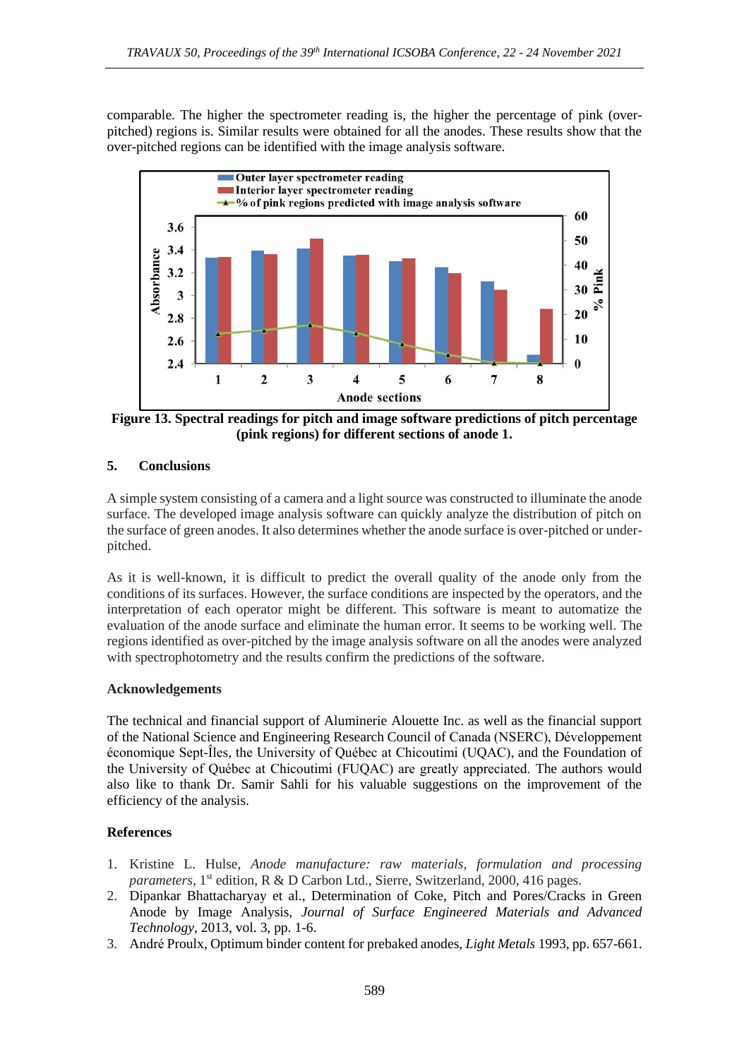comparable. The higher the spectrometer reading is, the higher the percentage of pink (overpitched) regions is. Similar results were obtained for all the anodes. These results show that the over-pitched regions can be identified with the image analysis software.



**Figure 13. Spectral readings for pitch and image software predictions of pitch percentage (pink regions) for different sections of anode 1.** 

## **5. Conclusions**

A simple system consisting of a camera and a light source was constructed to illuminate the anode surface. The developed image analysis software can quickly analyze the distribution of pitch on the surface of green anodes. It also determines whether the anode surface is over-pitched or underpitched.

As it is well-known, it is difficult to predict the overall quality of the anode only from the conditions of its surfaces. However, the surface conditions are inspected by the operators, and the interpretation of each operator might be different. This software is meant to automatize the evaluation of the anode surface and eliminate the human error. It seems to be working well. The regions identified as over-pitched by the image analysis software on all the anodes were analyzed with spectrophotometry and the results confirm the predictions of the software.

## **Acknowledgements**

The technical and financial support of Aluminerie Alouette Inc. as well as the financial support of the National Science and Engineering Research Council of Canada (NSERC), Développement économique Sept-Îles, the University of Québec at Chicoutimi (UQAC), and the Foundation of the University of Québec at Chicoutimi (FUQAC) are greatly appreciated. The authors would also like to thank Dr. Samir Sahli for his valuable suggestions on the improvement of the efficiency of the analysis.

## **References**

- 1. Kristine L. Hulse, *Anode manufacture: raw materials, formulation and processing parameters*, 1<sup>st</sup> edition, R & D Carbon Ltd., Sierre, Switzerland, 2000, 416 pages.
- 2. Dipankar Bhattacharyay et al., Determination of Coke, Pitch and Pores/Cracks in Green Anode by Image Analysis, *Journal of Surface Engineered Materials and Advanced Technology*, 2013, vol. 3, pp. 1-6.
- 3. André Proulx, Optimum binder content for prebaked anodes, *Light Metals* 1993, pp. 657-661.